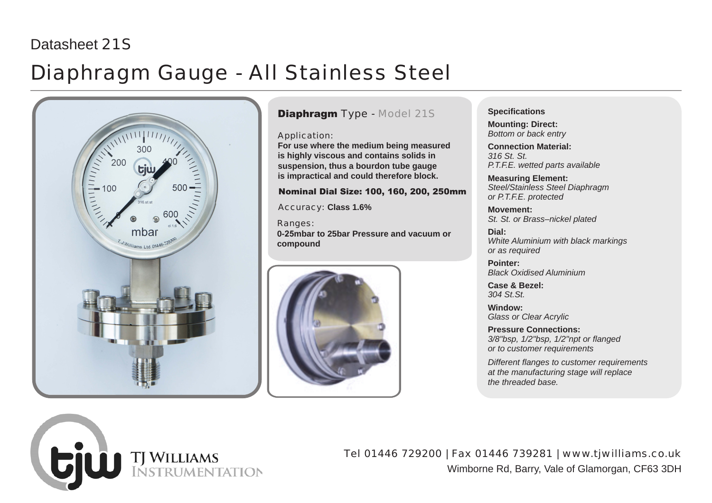## Datasheet 21S

## Diaphragm Gauge - All Stainless Steel



TJ WILLIAMS<br>INSTRUMENTATION

### Diaphragm Type - Model 21S

Application:

**For use where the medium being measured is highly viscous and contains solids in suspension, thus a bourdon tube gauge is impractical and could therefore block.**

Nominal Dial Size: 100, 160, 200, 250mm

Accuracy: **Class 1.6%**

Ranges: **0-25mbar to 25bar Pressure and vacuum or compound**



#### **Specifications**

**Mounting: Direct:** *Bottom or back entry*

**Connection Material:**  *316 St. St. P.T.F.E. wetted parts available*

**Measuring Element:**  *Steel/Stainless Steel Diaphragm or P.T.F.E. protected*

**Movement:**  *St. St. or Brass–nickel plated*

**Dial:**  *White Aluminium with black markings or as required*

**Pointer:**  *Black Oxidised Aluminium*

**Case & Bezel:**  *304 St.St.*

**Window:**  *Glass or Clear Acrylic*

**Pressure Connections:**  *3/8"bsp, 1/2"bsp, 1/2"npt or flanged or to customer requirements*

*Different flanges to customer requirements at the manufacturing stage will replace the threaded base.*